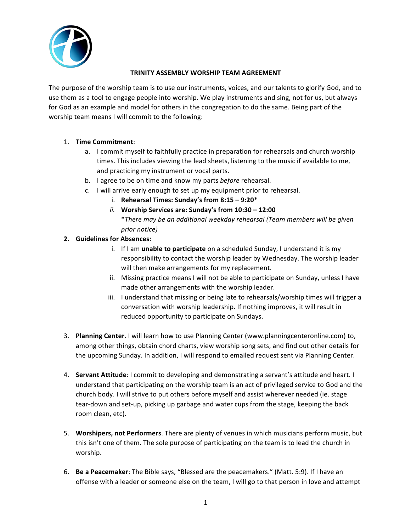

#### **TRINITY ASSEMBLY WORSHIP TEAM AGREEMENT**

The purpose of the worship team is to use our instruments, voices, and our talents to glorify God, and to use them as a tool to engage people into worship. We play instruments and sing, not for us, but always for God as an example and model for others in the congregation to do the same. Being part of the worship team means I will commit to the following:

### 1. **Time Commitment**:

- a. I commit myself to faithfully practice in preparation for rehearsals and church worship times. This includes viewing the lead sheets, listening to the music if available to me, and practicing my instrument or vocal parts.
- b. I agree to be on time and know my parts *before* rehearsal.
- c. I will arrive early enough to set up my equipment prior to rehearsal.
	- i. Rehearsal Times: Sunday's from 8:15 9:20\*
	- *ii.* Worship Services are: Sunday's from 10:30 12:00 \**There may be an additional weekday rehearsal (Team members will be given prior notice)*

## **2.** Guidelines for Absences:

- i. If I am **unable to participate** on a scheduled Sunday, I understand it is my responsibility to contact the worship leader by Wednesday. The worship leader will then make arrangements for my replacement.
- ii. Missing practice means I will not be able to participate on Sunday, unless I have made other arrangements with the worship leader.
- iii. I understand that missing or being late to rehearsals/worship times will trigger a conversation with worship leadership. If nothing improves, it will result in reduced opportunity to participate on Sundays.
- 3. Planning Center. I will learn how to use Planning Center (www.planningcenteronline.com) to, among other things, obtain chord charts, view worship song sets, and find out other details for the upcoming Sunday. In addition, I will respond to emailed request sent via Planning Center.
- 4. **Servant Attitude**: I commit to developing and demonstrating a servant's attitude and heart. I understand that participating on the worship team is an act of privileged service to God and the church body. I will strive to put others before myself and assist wherever needed (ie. stage tear-down and set-up, picking up garbage and water cups from the stage, keeping the back room clean, etc).
- 5. **Worshipers, not Performers**. There are plenty of venues in which musicians perform music, but this isn't one of them. The sole purpose of participating on the team is to lead the church in worship.
- 6. **Be a Peacemaker**: The Bible says, "Blessed are the peacemakers." (Matt. 5:9). If I have an offense with a leader or someone else on the team, I will go to that person in love and attempt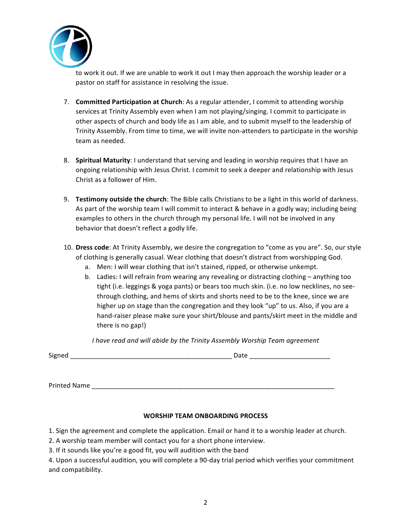

to work it out. If we are unable to work it out I may then approach the worship leader or a pastor on staff for assistance in resolving the issue.

- 7. **Committed Participation at Church**: As a regular attender, I commit to attending worship services at Trinity Assembly even when I am not playing/singing. I commit to participate in other aspects of church and body life as I am able, and to submit myself to the leadership of Trinity Assembly. From time to time, we will invite non-attenders to participate in the worship team as needed.
- 8. **Spiritual Maturity**: I understand that serving and leading in worship requires that I have an ongoing relationship with Jesus Christ. I commit to seek a deeper and relationship with Jesus Christ as a follower of Him.
- 9. **Testimony outside the church**: The Bible calls Christians to be a light in this world of darkness. As part of the worship team I will commit to interact & behave in a godly way; including being examples to others in the church through my personal life. I will not be involved in any behavior that doesn't reflect a godly life.
- 10. **Dress code**: At Trinity Assembly, we desire the congregation to "come as you are". So, our style of clothing is generally casual. Wear clothing that doesn't distract from worshipping God.
	- a. Men: I will wear clothing that isn't stained, ripped, or otherwise unkempt.
	- b. Ladies: I will refrain from wearing any revealing or distracting clothing anything too tight (i.e. leggings & yoga pants) or bears too much skin. (i.e. no low necklines, no seethrough clothing, and hems of skirts and shorts need to be to the knee, since we are higher up on stage than the congregation and they look "up" to us. Also, if you are a hand-raiser please make sure your shirt/blouse and pants/skirt meet in the middle and there is no gap!)

*I* have read and will abide by the Trinity Assembly Worship Team agreement

| $\sim$ |  |
|--------|--|
|        |  |

Printed Name \_\_\_\_\_\_

#### **WORSHIP TEAM ONBOARDING PROCESS**

1. Sign the agreement and complete the application. Email or hand it to a worship leader at church.

2. A worship team member will contact you for a short phone interview.

3. If it sounds like you're a good fit, you will audition with the band

4. Upon a successful audition, you will complete a 90-day trial period which verifies your commitment and compatibility.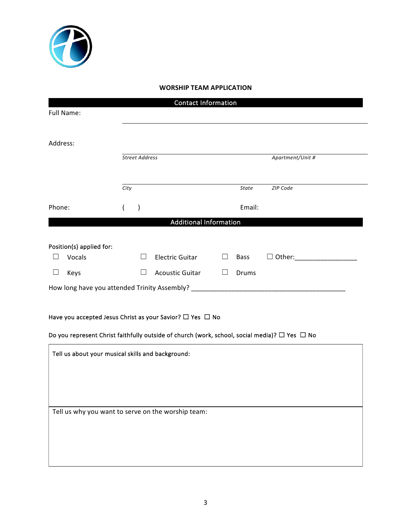

# **WORSHIP TEAM APPLICATION**

| <b>Contact Information</b>                                                                              |                       |                        |        |                  |               |  |  |  |
|---------------------------------------------------------------------------------------------------------|-----------------------|------------------------|--------|------------------|---------------|--|--|--|
| Full Name:                                                                                              |                       |                        |        |                  |               |  |  |  |
|                                                                                                         |                       |                        |        |                  |               |  |  |  |
| Address:                                                                                                |                       |                        |        |                  |               |  |  |  |
|                                                                                                         | <b>Street Address</b> |                        |        | Apartment/Unit # |               |  |  |  |
|                                                                                                         |                       |                        |        |                  |               |  |  |  |
|                                                                                                         | City                  |                        |        | State            | ZIP Code      |  |  |  |
| Phone:                                                                                                  | $\mathcal{L}$         |                        |        | Email:           |               |  |  |  |
| <b>Additional Information</b>                                                                           |                       |                        |        |                  |               |  |  |  |
|                                                                                                         |                       |                        |        |                  |               |  |  |  |
| Position(s) applied for:<br>Vocals                                                                      | $\perp$               | <b>Electric Guitar</b> | $\Box$ | <b>Bass</b>      | $\Box$ Other: |  |  |  |
| $\Box$<br>Keys                                                                                          | $\Box$                | <b>Acoustic Guitar</b> | $\Box$ | Drums            |               |  |  |  |
| How long have you attended Trinity Assembly? ___________________________________                        |                       |                        |        |                  |               |  |  |  |
|                                                                                                         |                       |                        |        |                  |               |  |  |  |
| Have you accepted Jesus Christ as your Savior? $\Box$ Yes $\Box$ No                                     |                       |                        |        |                  |               |  |  |  |
| Do you represent Christ faithfully outside of church (work, school, social media)? $\Box$ Yes $\Box$ No |                       |                        |        |                  |               |  |  |  |
| Tell us about your musical skills and background:                                                       |                       |                        |        |                  |               |  |  |  |
|                                                                                                         |                       |                        |        |                  |               |  |  |  |
|                                                                                                         |                       |                        |        |                  |               |  |  |  |
|                                                                                                         |                       |                        |        |                  |               |  |  |  |
| Tell us why you want to serve on the worship team:                                                      |                       |                        |        |                  |               |  |  |  |
|                                                                                                         |                       |                        |        |                  |               |  |  |  |
|                                                                                                         |                       |                        |        |                  |               |  |  |  |
|                                                                                                         |                       |                        |        |                  |               |  |  |  |